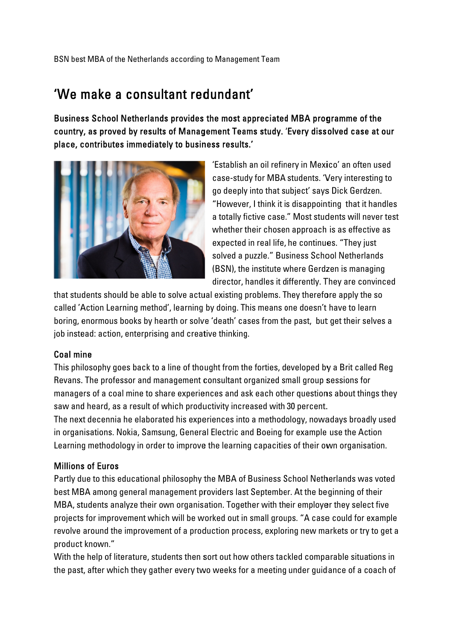## 'We make a consultant redundant'

Business School Netherlands provides the most appreciated MBA programme of the country, as proved by results of Management Teams study. 'Every dissolved case at our place, contributes immediately to business results.'



'Establish an oil refinery in Mexico' an often used case-study for MBA students. 'Very interesting to go deeply into that subject' says Dick Gerdzen. "However, I think it is disappointing that it handles a totally fictive case." Most students will never test whether their chosen approach is as effective as expected in real life, he continues. "They just solved a puzzle." Business School Netherlands (BSN), the institute where Gerdzen is managing director, handles it differently. They are convinced

that students should be able to solve actual existing problems. They therefore apply the so called 'Action Learning method', learning by doing. This means one doesn't have to learn boring, enormous books by hearth or solve 'death' cases from the past, but get their selves a job instead: action, enterprising and creative thinking.

## Coal mine

This philosophy goes back to a line of thought from the forties, developed by a Brit called Reg Revans. The professor and management consultant organized small group sessions for managers of a coal mine to share experiences and ask each other questions about things they saw and heard, as a result of which productivity increased with 30 percent.

The next decennia he elaborated his experiences into a methodology, nowadays broadly used in organisations. Nokia, Samsung, General Electric and Boeing for example use the Action Learning methodology in order to improve the learning capacities of their own organisation.

## **Millions of Euros**

Partly due to this educational philosophy the MBA of Business School Netherlands was voted best MBA among general management providers last September. At the beginning of their MBA, students analyze their own organisation. Together with their employer they select five projects for improvement which will be worked out in small groups. "A case could for example revolve around the improvement of a production process, exploring new markets or try to get a product known."

With the help of literature, students then sort out how others tackled comparable situations in the past, after which they gather every two weeks for a meeting under guidance of a coach of